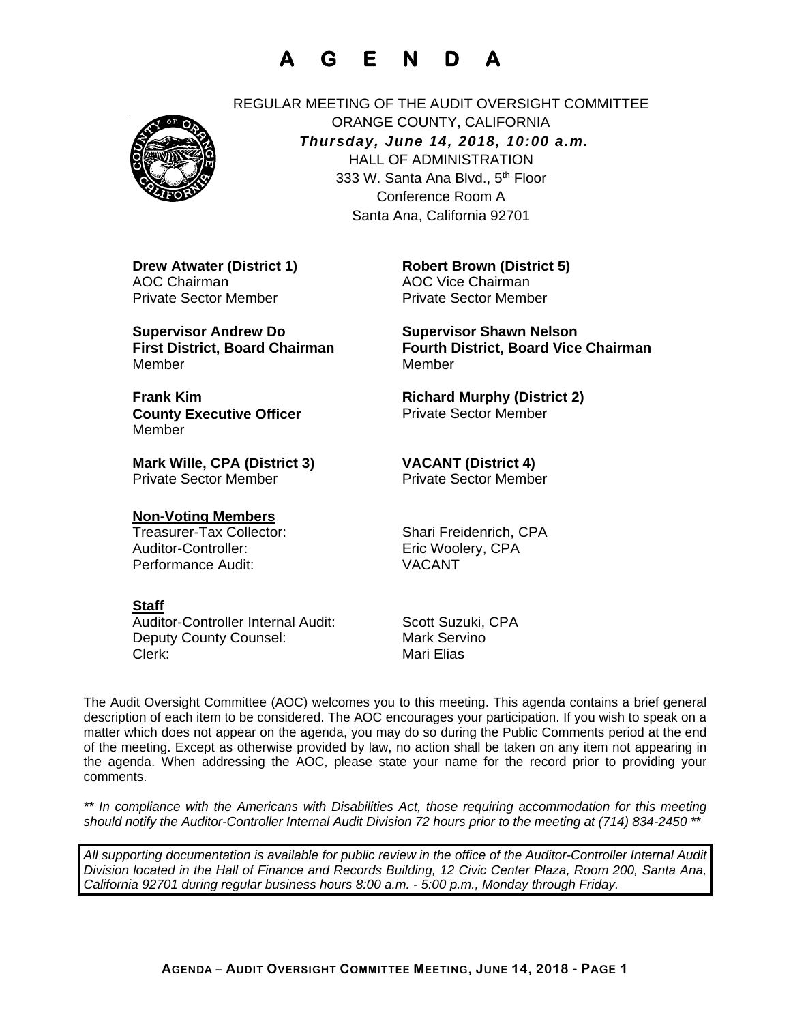# **A G E N D A**



REGULAR MEETING OF THE AUDIT OVERSIGHT COMMITTEE ORANGE COUNTY, CALIFORNIA *Thursday, June 14, 2018, 10:00 a.m.* HALL OF ADMINISTRATION 333 W. Santa Ana Blvd., 5<sup>th</sup> Floor Conference Room A Santa Ana, California 92701

**Drew Atwater (District 1)**  AOC Chairman Private Sector Member

**Supervisor Andrew Do First District, Board Chairman**  Member

**Frank Kim County Executive Officer**  Member

**Mark Wille, CPA (District 3)**  Private Sector Member

**Non-Voting Members** Treasurer-Tax Collector: Shari Freidenrich, CPA Auditor-Controller: Eric Woolery, CPA Performance Audit: VACANT

**Robert Brown (District 5)**  AOC Vice Chairman Private Sector Member

**Supervisor Shawn Nelson Fourth District, Board Vice Chairman**  Member

**Richard Murphy (District 2)**  Private Sector Member

**VACANT (District 4)**  Private Sector Member

### **Staff**

Auditor-Controller Internal Audit: Scott Suzuki, CPA Deputy County Counsel: Mark Servino Clerk: Clerk: Mari Elias

The Audit Oversight Committee (AOC) welcomes you to this meeting. This agenda contains a brief general description of each item to be considered. The AOC encourages your participation. If you wish to speak on a matter which does not appear on the agenda, you may do so during the Public Comments period at the end of the meeting. Except as otherwise provided by law, no action shall be taken on any item not appearing in the agenda. When addressing the AOC, please state your name for the record prior to providing your comments.

*\*\* In compliance with the Americans with Disabilities Act, those requiring accommodation for this meeting should notify the Auditor-Controller Internal Audit Division 72 hours prior to the meeting at (714) 834-2450 \*\** 

*All supporting documentation is available for public review in the office of the Auditor-Controller Internal Audit Division located in the Hall of Finance and Records Building, 12 Civic Center Plaza, Room 200, Santa Ana, California 92701 during regular business hours 8:00 a.m. - 5:00 p.m., Monday through Friday.*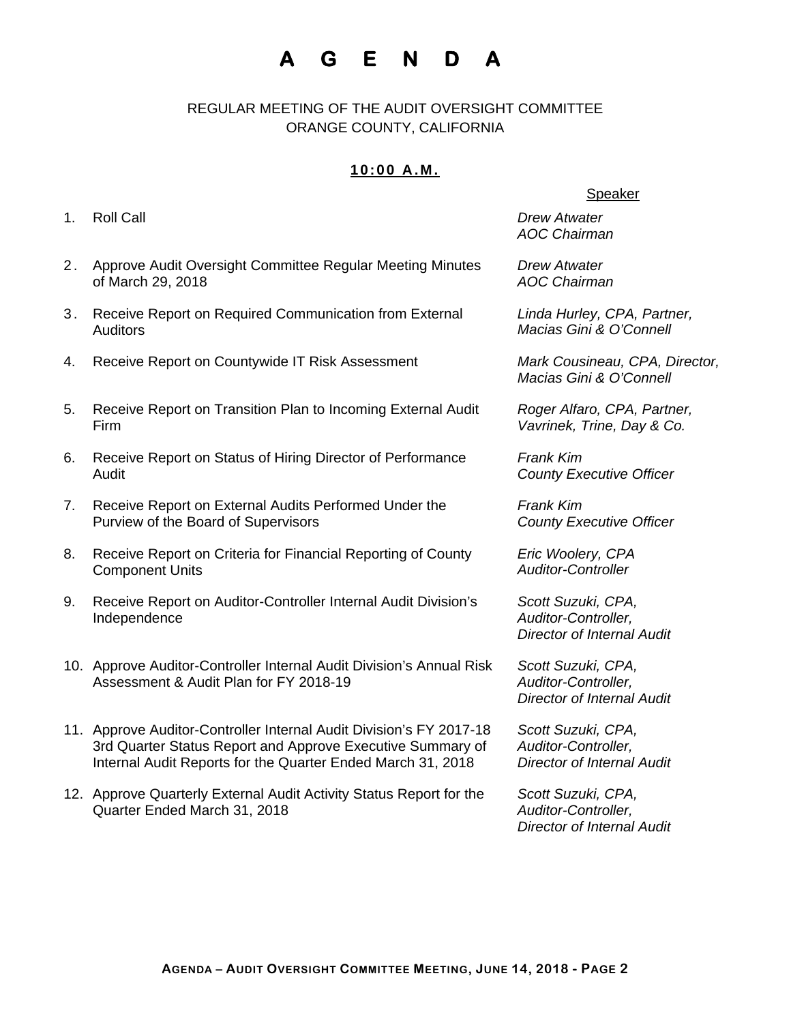# **A G E N D A**

REGULAR MEETING OF THE AUDIT OVERSIGHT COMMITTEE ORANGE COUNTY, CALIFORNIA

### **10:00 A.M.**

- 1. Roll Call *Drew Atwater*
- 2. Approve Audit Oversight Committee Regular Meeting Minutes of March 29, 2018
- 3. Receive Report on Required Communication from External **Auditors**
- 4. Receive Report on Countywide IT Risk Assessment *Mark Cousineau, CPA, Director,*
- 5. Receive Report on Transition Plan to Incoming External Audit Firm
- 6. Receive Report on Status of Hiring Director of Performance Audit
- 7. Receive Report on External Audits Performed Under the Purview of the Board of Supervisors
- 8. Receive Report on Criteria for Financial Reporting of County Component Units
- 9. Receive Report on Auditor-Controller Internal Audit Division's Independence
- 10. Approve Auditor-Controller Internal Audit Division's Annual Risk Assessment & Audit Plan for FY 2018-19
- 11. Approve Auditor-Controller Internal Audit Division's FY 2017-18 3rd Quarter Status Report and Approve Executive Summary of Internal Audit Reports for the Quarter Ended March 31, 2018
- 12. Approve Quarterly External Audit Activity Status Report for the Quarter Ended March 31, 2018

#### Speaker

*AOC Chairman* 

*Drew Atwater AOC Chairman* 

*Linda Hurley, CPA, Partner, Macias Gini & O'Connell* 

*Macias Gini & O'Connell* 

*Roger Alfaro, CPA, Partner, Vavrinek, Trine, Day & Co.* 

*Frank Kim County Executive Officer* 

*Frank Kim County Executive Officer* 

*Eric Woolery, CPA Auditor-Controller* 

*Scott Suzuki, CPA, Auditor-Controller, Director of Internal Audit* 

*Scott Suzuki, CPA, Auditor-Controller, Director of Internal Audit* 

*Scott Suzuki, CPA, Auditor-Controller, Director of Internal Audit*

*Scott Suzuki, CPA, Auditor-Controller, Director of Internal Audit*